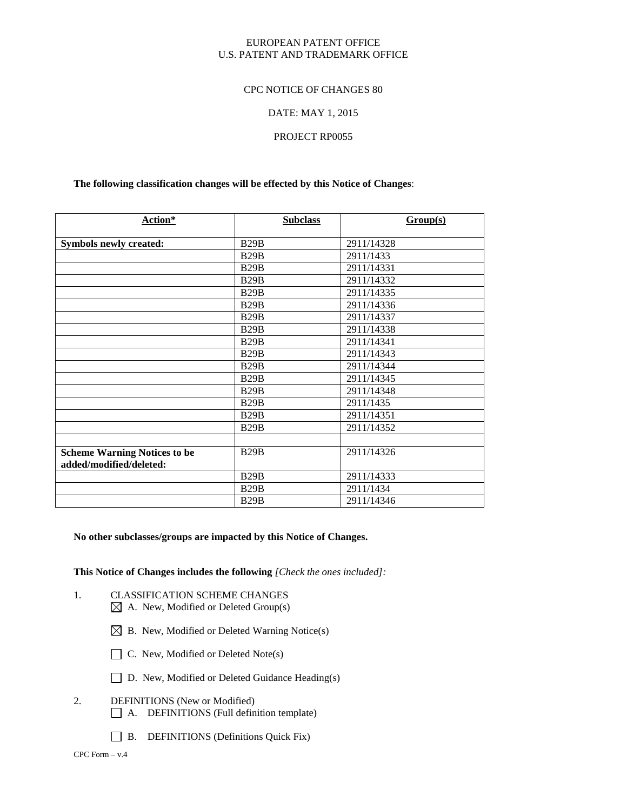### EUROPEAN PATENT OFFICE U.S. PATENT AND TRADEMARK OFFICE

### CPC NOTICE OF CHANGES 80

### DATE: MAY 1, 2015

### PROJECT RP0055

### **The following classification changes will be effected by this Notice of Changes**:

| Action*                                                        | <b>Subclass</b> | Group(s)   |
|----------------------------------------------------------------|-----------------|------------|
| <b>Symbols newly created:</b>                                  | B29B            | 2911/14328 |
|                                                                | B29B            | 2911/1433  |
|                                                                | B29B            | 2911/14331 |
|                                                                | B29B            | 2911/14332 |
|                                                                | B29B            | 2911/14335 |
|                                                                | B29B            | 2911/14336 |
|                                                                | B29B            | 2911/14337 |
|                                                                | B29B            | 2911/14338 |
|                                                                | B29B            | 2911/14341 |
|                                                                | <b>B29B</b>     | 2911/14343 |
|                                                                | B29B            | 2911/14344 |
|                                                                | B29B            | 2911/14345 |
|                                                                | B29B            | 2911/14348 |
|                                                                | B29B            | 2911/1435  |
|                                                                | B29B            | 2911/14351 |
|                                                                | B29B            | 2911/14352 |
|                                                                |                 |            |
| <b>Scheme Warning Notices to be</b><br>added/modified/deleted: | B29B            | 2911/14326 |
|                                                                | <b>B29B</b>     | 2911/14333 |
|                                                                | B29B            | 2911/1434  |
|                                                                | B29B            | 2911/14346 |

### **No other subclasses/groups are impacted by this Notice of Changes.**

**This Notice of Changes includes the following** *[Check the ones included]:*

- 1. CLASSIFICATION SCHEME CHANGES  $\boxtimes$  A. New, Modified or Deleted Group(s)
	- $\boxtimes$  B. New, Modified or Deleted Warning Notice(s)
	- $\Box$  C. New, Modified or Deleted Note(s)
	- □ D. New, Modified or Deleted Guidance Heading(s)
- 2. DEFINITIONS (New or Modified) A. DEFINITIONS (Full definition template)
	- B. DEFINITIONS (Definitions Quick Fix)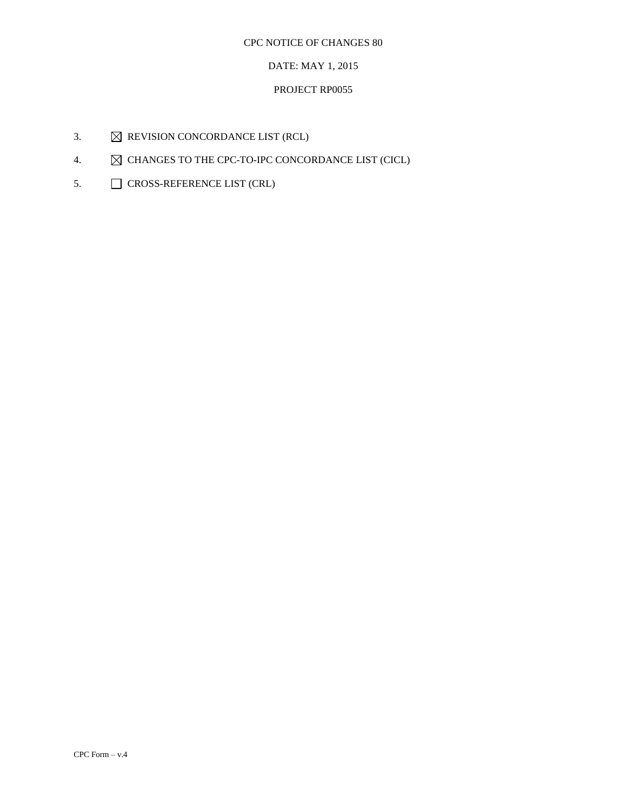# DATE: MAY 1, 2015

# PROJECT RP0055

- 3.  $\boxtimes$  REVISION CONCORDANCE LIST (RCL)
- 4.  $\boxtimes$  CHANGES TO THE CPC-TO-IPC CONCORDANCE LIST (CICL)
- 5. CROSS-REFERENCE LIST (CRL)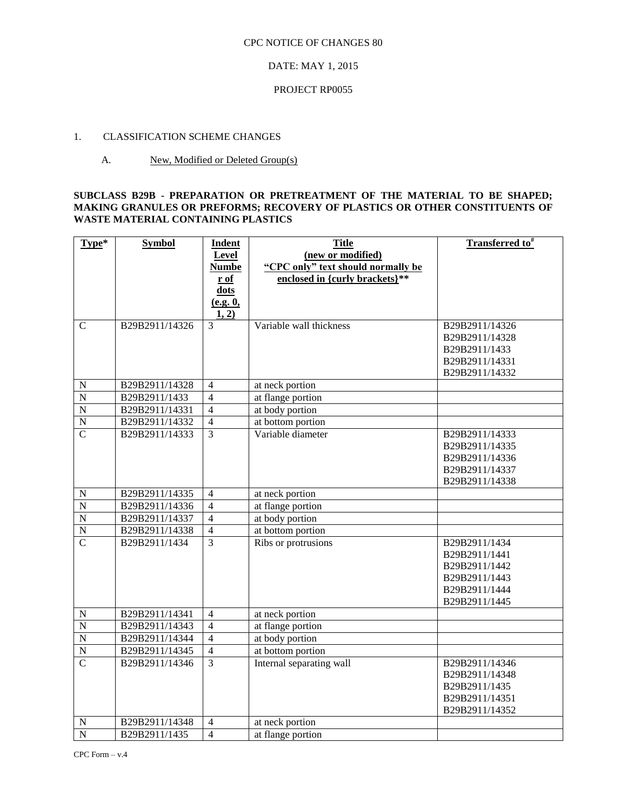### DATE: MAY 1, 2015

### PROJECT RP0055

## 1. CLASSIFICATION SCHEME CHANGES

### A. New, Modified or Deleted Group(s)

### **SUBCLASS B29B - PREPARATION OR PRETREATMENT OF THE MATERIAL TO BE SHAPED; MAKING GRANULES OR PREFORMS; RECOVERY OF PLASTICS OR OTHER CONSTITUENTS OF WASTE MATERIAL CONTAINING PLASTICS**

| Type*          | <b>Symbol</b>  | Indent         | <b>Title</b>                       | Transferred to <sup>#</sup> |
|----------------|----------------|----------------|------------------------------------|-----------------------------|
|                |                | Level          | (new or modified)                  |                             |
|                |                | <b>Numbe</b>   | "CPC only" text should normally be |                             |
|                |                | r of           | enclosed in {curly brackets}**     |                             |
|                |                | dots           |                                    |                             |
|                |                | (e.g. 0,       |                                    |                             |
|                |                | 1, 2)          |                                    |                             |
| $\mathbf C$    | B29B2911/14326 | $\overline{3}$ | Variable wall thickness            | B29B2911/14326              |
|                |                |                |                                    | B29B2911/14328              |
|                |                |                |                                    | B29B2911/1433               |
|                |                |                |                                    | B29B2911/14331              |
|                |                |                |                                    | B29B2911/14332              |
| $\mathbf N$    | B29B2911/14328 | $\overline{4}$ | at neck portion                    |                             |
| $\overline{N}$ | B29B2911/1433  | $\overline{4}$ | at flange portion                  |                             |
| $\overline{N}$ | B29B2911/14331 | $\overline{4}$ | at body portion                    |                             |
| $\overline{N}$ | B29B2911/14332 | $\overline{4}$ | at bottom portion                  |                             |
| $\overline{C}$ | B29B2911/14333 | $\overline{3}$ | Variable diameter                  | B29B2911/14333              |
|                |                |                |                                    | B29B2911/14335              |
|                |                |                |                                    | B29B2911/14336              |
|                |                |                |                                    | B29B2911/14337              |
|                |                |                |                                    | B29B2911/14338              |
| ${\bf N}$      | B29B2911/14335 | $\overline{4}$ | at neck portion                    |                             |
| $\overline{N}$ | B29B2911/14336 | $\overline{4}$ | at flange portion                  |                             |
| $\overline{N}$ | B29B2911/14337 | $\overline{4}$ | at body portion                    |                             |
| $\overline{N}$ | B29B2911/14338 | $\overline{4}$ | at bottom portion                  |                             |
| $\overline{C}$ | B29B2911/1434  | $\overline{3}$ | Ribs or protrusions                | B29B2911/1434               |
|                |                |                |                                    | B29B2911/1441               |
|                |                |                |                                    | B29B2911/1442               |
|                |                |                |                                    | B29B2911/1443               |
|                |                |                |                                    | B29B2911/1444               |
|                |                |                |                                    | B29B2911/1445               |
| ${\bf N}$      | B29B2911/14341 | $\overline{4}$ | at neck portion                    |                             |
| $\overline{N}$ | B29B2911/14343 | $\overline{4}$ | at flange portion                  |                             |
| $\overline{N}$ | B29B2911/14344 | $\overline{4}$ | at body portion                    |                             |
| $\overline{N}$ | B29B2911/14345 | $\overline{4}$ | at bottom portion                  |                             |
| $\overline{C}$ | B29B2911/14346 | $\overline{3}$ | Internal separating wall           | B29B2911/14346              |
|                |                |                |                                    | B29B2911/14348              |
|                |                |                |                                    | B29B2911/1435               |
|                |                |                |                                    | B29B2911/14351              |
|                |                |                |                                    | B29B2911/14352              |
| N              | B29B2911/14348 | $\overline{4}$ | at neck portion                    |                             |
| $\overline{N}$ | B29B2911/1435  | $\overline{4}$ | at flange portion                  |                             |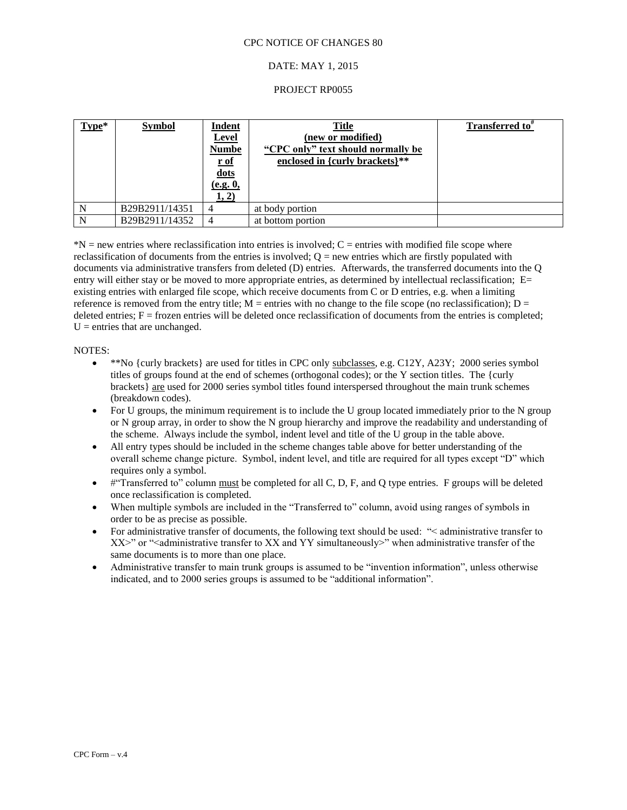### DATE: MAY 1, 2015

#### PROJECT RP0055

| $Type*$ | <b>Symbol</b>  | Indent<br><b>Level</b><br><b>Numbe</b><br>$\underline{\mathbf{r}}$ of<br>dots<br>(e.g. 0,<br>1, 2) | <b>Title</b><br>(new or modified)<br>"CPC only" text should normally be<br>enclosed in {curly brackets}** | Transferred to <sup>#</sup> |
|---------|----------------|----------------------------------------------------------------------------------------------------|-----------------------------------------------------------------------------------------------------------|-----------------------------|
| N       | B29B2911/14351 |                                                                                                    | at body portion                                                                                           |                             |
| N       | B29B2911/14352 | $\overline{4}$                                                                                     | at bottom portion                                                                                         |                             |

 $N =$  new entries where reclassification into entries is involved;  $C =$  entries with modified file scope where reclassification of documents from the entries is involved;  $Q = new$  entries which are firstly populated with documents via administrative transfers from deleted (D) entries. Afterwards, the transferred documents into the Q entry will either stay or be moved to more appropriate entries, as determined by intellectual reclassification; E= existing entries with enlarged file scope, which receive documents from C or D entries, e.g. when a limiting reference is removed from the entry title;  $M =$  entries with no change to the file scope (no reclassification);  $D =$ deleted entries;  $F =$  frozen entries will be deleted once reclassification of documents from the entries is completed;  $U =$  entries that are unchanged.

#### NOTES:

- $*$ <sup>\*\*</sup>No {curly brackets} are used for titles in CPC only subclasses, e.g. C12Y, A23Y; 2000 series symbol titles of groups found at the end of schemes (orthogonal codes); or the Y section titles. The {curly brackets} are used for 2000 series symbol titles found interspersed throughout the main trunk schemes (breakdown codes).
- For U groups, the minimum requirement is to include the U group located immediately prior to the N group or N group array, in order to show the N group hierarchy and improve the readability and understanding of the scheme. Always include the symbol, indent level and title of the U group in the table above.
- All entry types should be included in the scheme changes table above for better understanding of the overall scheme change picture. Symbol, indent level, and title are required for all types except "D" which requires only a symbol.
- $#$ "Transferred to" column must be completed for all C, D, F, and Q type entries. F groups will be deleted once reclassification is completed.
- When multiple symbols are included in the "Transferred to" column, avoid using ranges of symbols in order to be as precise as possible.
- For administrative transfer of documents, the following text should be used: "< administrative transfer to  $XX$  $>$ " or "<administrative transfer to XX and YY simultaneously $>$ " when administrative transfer of the same documents is to more than one place.
- Administrative transfer to main trunk groups is assumed to be "invention information", unless otherwise indicated, and to 2000 series groups is assumed to be "additional information".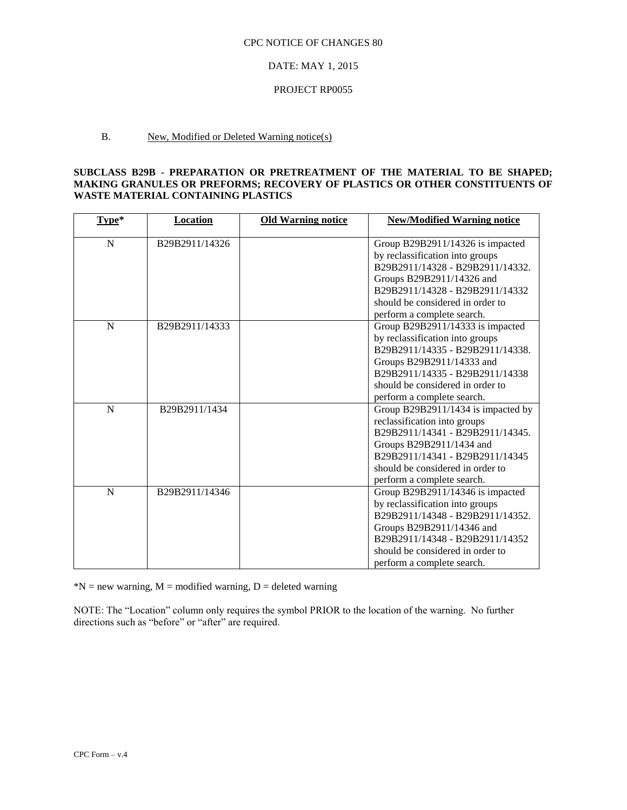#### DATE: MAY 1, 2015

#### PROJECT RP0055

## B. New, Modified or Deleted Warning notice(s)

### **SUBCLASS B29B - PREPARATION OR PRETREATMENT OF THE MATERIAL TO BE SHAPED; MAKING GRANULES OR PREFORMS; RECOVERY OF PLASTICS OR OTHER CONSTITUENTS OF WASTE MATERIAL CONTAINING PLASTICS**

| Type*       | Location       | <b>Old Warning notice</b> | <b>New/Modified Warning notice</b> |
|-------------|----------------|---------------------------|------------------------------------|
|             |                |                           |                                    |
| N           | B29B2911/14326 |                           | Group B29B2911/14326 is impacted   |
|             |                |                           | by reclassification into groups    |
|             |                |                           | B29B2911/14328 - B29B2911/14332.   |
|             |                |                           | Groups B29B2911/14326 and          |
|             |                |                           | B29B2911/14328 - B29B2911/14332    |
|             |                |                           | should be considered in order to   |
|             |                |                           | perform a complete search.         |
| N           | B29B2911/14333 |                           | Group B29B2911/14333 is impacted   |
|             |                |                           | by reclassification into groups    |
|             |                |                           | B29B2911/14335 - B29B2911/14338.   |
|             |                |                           | Groups B29B2911/14333 and          |
|             |                |                           | B29B2911/14335 - B29B2911/14338    |
|             |                |                           | should be considered in order to   |
|             |                |                           | perform a complete search.         |
| $\mathbf N$ | B29B2911/1434  |                           | Group B29B2911/1434 is impacted by |
|             |                |                           | reclassification into groups       |
|             |                |                           | B29B2911/14341 - B29B2911/14345.   |
|             |                |                           | Groups B29B2911/1434 and           |
|             |                |                           | B29B2911/14341 - B29B2911/14345    |
|             |                |                           | should be considered in order to   |
|             |                |                           | perform a complete search.         |
| N           | B29B2911/14346 |                           | Group B29B2911/14346 is impacted   |
|             |                |                           | by reclassification into groups    |
|             |                |                           | B29B2911/14348 - B29B2911/14352.   |
|             |                |                           | Groups B29B2911/14346 and          |
|             |                |                           | B29B2911/14348 - B29B2911/14352    |
|             |                |                           | should be considered in order to   |
|             |                |                           | perform a complete search.         |

 $N = new warning, M = modified warning, D = deleted warning$ 

NOTE: The "Location" column only requires the symbol PRIOR to the location of the warning. No further directions such as "before" or "after" are required.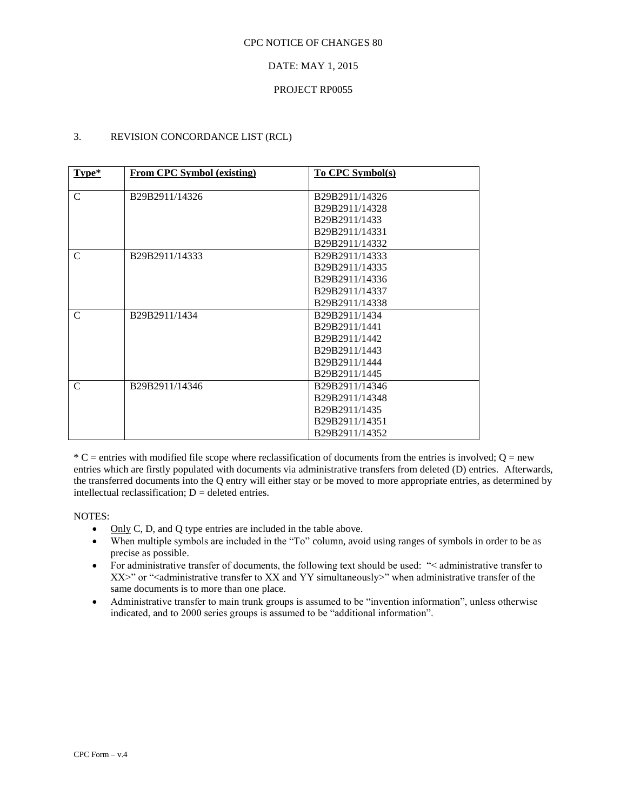### DATE: MAY 1, 2015

### PROJECT RP0055

## 3. REVISION CONCORDANCE LIST (RCL)

| Type*         | <b>From CPC Symbol (existing)</b> | <b>To CPC Symbol(s)</b> |
|---------------|-----------------------------------|-------------------------|
| $\mathsf{C}$  | B29B2911/14326                    | B29B2911/14326          |
|               |                                   | B29B2911/14328          |
|               |                                   | B29B2911/1433           |
|               |                                   | B29B2911/14331          |
|               |                                   | B29B2911/14332          |
| $\mathcal{C}$ | B29B2911/14333                    | B29B2911/14333          |
|               |                                   | B29B2911/14335          |
|               |                                   | B29B2911/14336          |
|               |                                   | B29B2911/14337          |
|               |                                   | B29B2911/14338          |
| C             | B29B2911/1434                     | B29B2911/1434           |
|               |                                   | B29B2911/1441           |
|               |                                   | B29B2911/1442           |
|               |                                   | B29B2911/1443           |
|               |                                   | B29B2911/1444           |
|               |                                   | B29B2911/1445           |
| C             | B29B2911/14346                    | B29B2911/14346          |
|               |                                   | B29B2911/14348          |
|               |                                   | B29B2911/1435           |
|               |                                   | B29B2911/14351          |
|               |                                   | B29B2911/14352          |

 $*$  C = entries with modified file scope where reclassification of documents from the entries is involved; Q = new entries which are firstly populated with documents via administrative transfers from deleted (D) entries. Afterwards, the transferred documents into the Q entry will either stay or be moved to more appropriate entries, as determined by intellectual reclassification;  $D =$  deleted entries.

NOTES:

- $\bullet$  Only C, D, and Q type entries are included in the table above.
- When multiple symbols are included in the "To" column, avoid using ranges of symbols in order to be as precise as possible.
- For administrative transfer of documents, the following text should be used: "< administrative transfer to XX>" or "<administrative transfer to XX and YY simultaneously>" when administrative transfer of the same documents is to more than one place.
- Administrative transfer to main trunk groups is assumed to be "invention information", unless otherwise indicated, and to 2000 series groups is assumed to be "additional information".